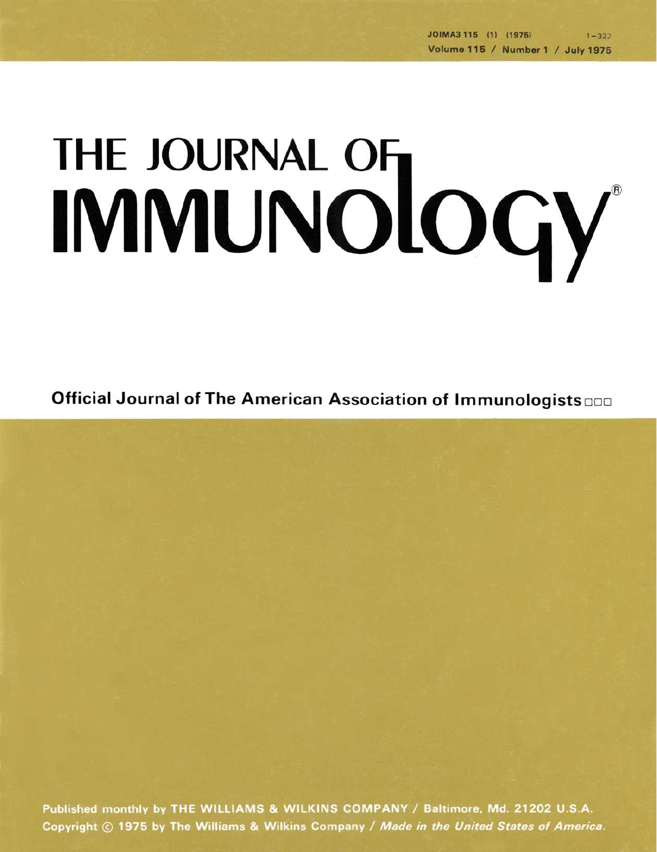## THE JOURNAL OF THE JOURNAL OF

Official Journal of The American Association of Immunologists

Published monthly by THE WILLIAMS & WILKINS COMPANY / Baltimore, Md. 21202 U.S.A. Copyright © 1975 by The Williams & Wilkins Company / Made in the United States of America.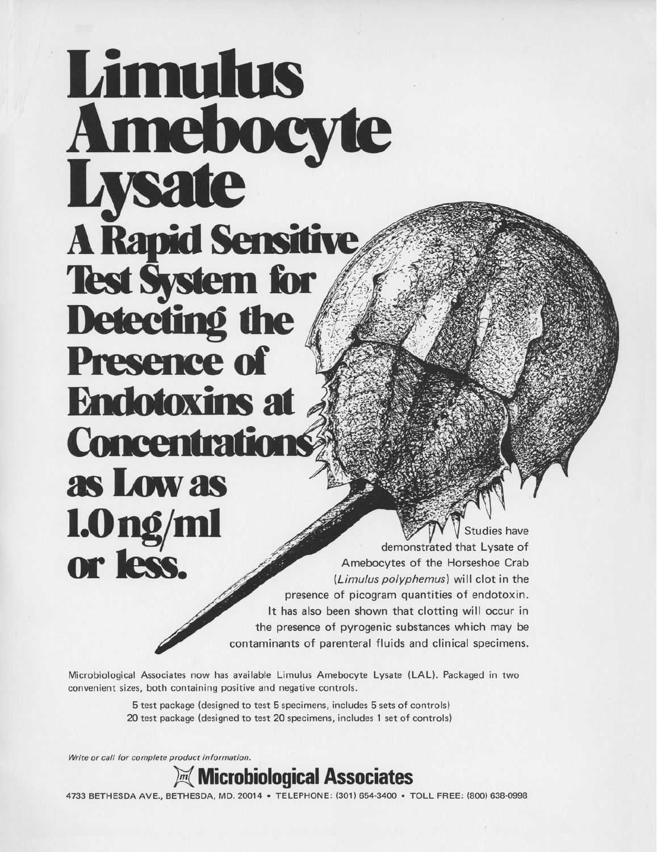## **Limulus Amebocyte**<br>Lysate **A Rapid Sensitive Test System for** Detecting the **Presence of Endotoxins at Concentrations** as Low as **l.Ong/ml le of**<br> **le of**<br> **le of**<br> **le of**<br> **le of**<br> **le of**<br> **le of**<br> **le of**<br> **le of**<br> **le of**<br> **le of**<br> **le of**<br> **le of**<br> **le of**<br> **le of**<br> **le of**<br> **le of**<br> **le of**<br> **le of**<br> **le of**<br> **le of**<br> **le of**<br> **le of**<br> **le of**<br> **le of**

demonstrated that Lysate of Amebocytes of the Horseshoe Crab *(Limulus polyphemus)* will clot in the presence of picogram quantities of endotoxin. It has also been shown that clotting will occur in the presence of pyrogenic substances which may be contaminants of parenteral fluids and clinical specimens.

Microbiological Associates now has available Limulus Amebocyte Lysate (LAL). Packaged in two convenient sizes, both containing positive and negative controls.

> 5 test package (designed to test 5 specimens, includes 5 sets of controls) 20 test package (designed to test 20 specimens, includes 1 set of controls)

*Write or call for complete product information.* 



4733 BETHESDA AVE., BETHESDA, MD. 20014 • TELEPHONE: (301) 654-3400 • TOLL FREE: (800) 638-0998